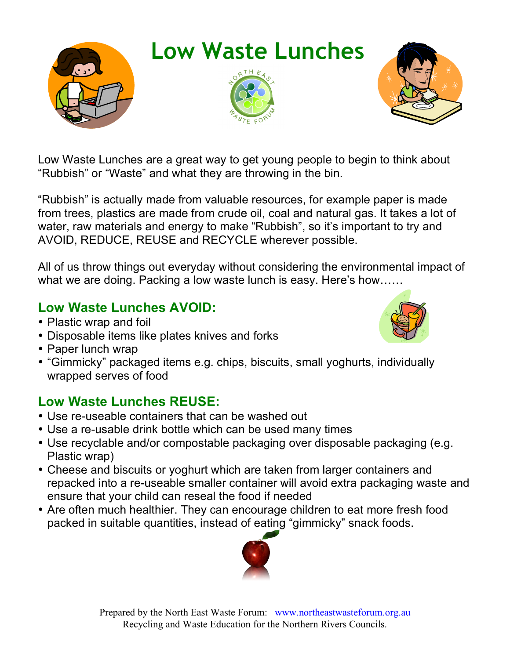

Low Waste Lunches are a great way to get young people to begin to think about "Rubbish" or "Waste" and what they are throwing in the bin.

"Rubbish" is actually made from valuable resources, for example paper is made from trees, plastics are made from crude oil, coal and natural gas. It takes a lot of water, raw materials and energy to make "Rubbish", so it's important to try and AVOID, REDUCE, REUSE and RECYCLE wherever possible.

All of us throw things out everyday without considering the environmental impact of what we are doing. Packing a low waste lunch is easy. Here's how……

## **Low Waste Lunches AVOID:**

- Plastic wrap and foil
- Disposable items like plates knives and forks
- Paper lunch wrap
- "Gimmicky" packaged items e.g. chips, biscuits, small yoghurts, individually wrapped serves of food

## **Low Waste Lunches REUSE:**

- Use re-useable containers that can be washed out
- Use a re-usable drink bottle which can be used many times
- Use recyclable and/or compostable packaging over disposable packaging (e.g. Plastic wrap)
- Cheese and biscuits or yoghurt which are taken from larger containers and repacked into a re-useable smaller container will avoid extra packaging waste and ensure that your child can reseal the food if needed
- Are often much healthier. They can encourage children to eat more fresh food packed in suitable quantities, instead of eating "gimmicky" snack foods.